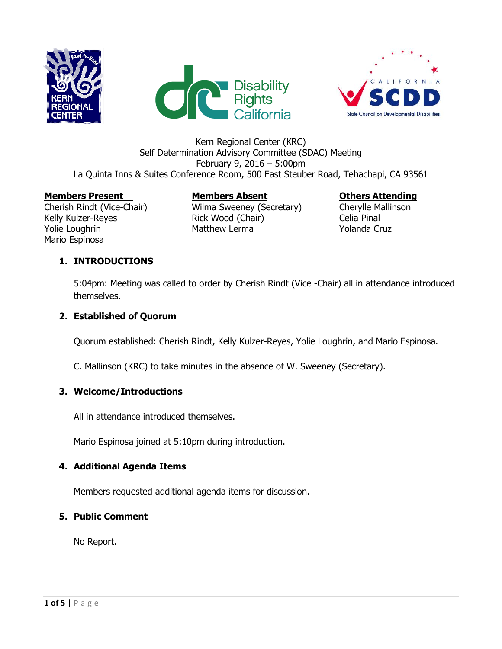





#### Kern Regional Center (KRC) Self Determination Advisory Committee (SDAC) Meeting February 9, 2016 – 5:00pm La Quinta Inns & Suites Conference Room, 500 East Steuber Road, Tehachapi, CA 93561

#### **Members Present Members Absent Others Attending**

Mario Espinosa

Cherish Rindt (Vice-Chair) Wilma Sweeney (Secretary) Cherylle Mallinson Kelly Kulzer-Reyes **Rick Wood (Chair)** Celia Pinal Yolie Loughrin The Matthew Lerma The Molanda Cruz

# **1. INTRODUCTIONS**

5:04pm: Meeting was called to order by Cherish Rindt (Vice -Chair) all in attendance introduced themselves.

### **2. Established of Quorum**

Quorum established: Cherish Rindt, Kelly Kulzer-Reyes, Yolie Loughrin, and Mario Espinosa.

C. Mallinson (KRC) to take minutes in the absence of W. Sweeney (Secretary).

### **3. Welcome/Introductions**

All in attendance introduced themselves.

Mario Espinosa joined at 5:10pm during introduction.

### **4. Additional Agenda Items**

Members requested additional agenda items for discussion.

### **5. Public Comment**

No Report.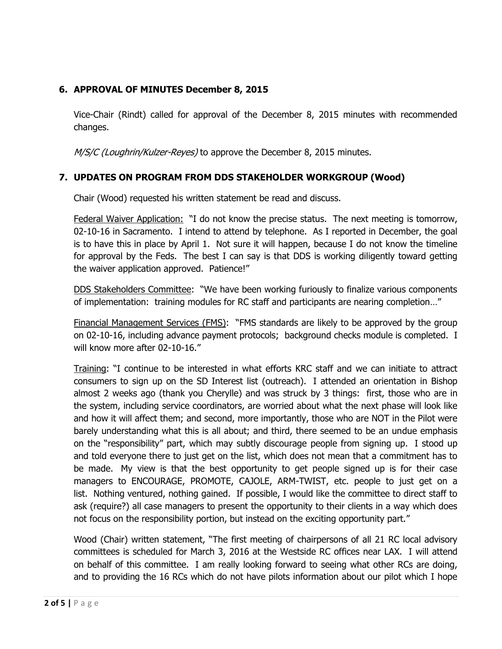### **6. APPROVAL OF MINUTES December 8, 2015**

Vice-Chair (Rindt) called for approval of the December 8, 2015 minutes with recommended changes.

M/S/C (Loughrin/Kulzer-Reyes) to approve the December 8, 2015 minutes.

### **7. UPDATES ON PROGRAM FROM DDS STAKEHOLDER WORKGROUP (Wood)**

Chair (Wood) requested his written statement be read and discuss.

Federal Waiver Application: "I do not know the precise status. The next meeting is tomorrow, 02-10-16 in Sacramento. I intend to attend by telephone. As I reported in December, the goal is to have this in place by April 1. Not sure it will happen, because I do not know the timeline for approval by the Feds. The best I can say is that DDS is working diligently toward getting the waiver application approved. Patience!"

DDS Stakeholders Committee: "We have been working furiously to finalize various components of implementation: training modules for RC staff and participants are nearing completion…"

Financial Management Services (FMS): "FMS standards are likely to be approved by the group on 02-10-16, including advance payment protocols; background checks module is completed. I will know more after 02-10-16."

Training: "I continue to be interested in what efforts KRC staff and we can initiate to attract consumers to sign up on the SD Interest list (outreach). I attended an orientation in Bishop almost 2 weeks ago (thank you Cherylle) and was struck by 3 things: first, those who are in the system, including service coordinators, are worried about what the next phase will look like and how it will affect them; and second, more importantly, those who are NOT in the Pilot were barely understanding what this is all about; and third, there seemed to be an undue emphasis on the "responsibility" part, which may subtly discourage people from signing up. I stood up and told everyone there to just get on the list, which does not mean that a commitment has to be made. My view is that the best opportunity to get people signed up is for their case managers to ENCOURAGE, PROMOTE, CAJOLE, ARM-TWIST, etc. people to just get on a list. Nothing ventured, nothing gained. If possible, I would like the committee to direct staff to ask (require?) all case managers to present the opportunity to their clients in a way which does not focus on the responsibility portion, but instead on the exciting opportunity part."

Wood (Chair) written statement, "The first meeting of chairpersons of all 21 RC local advisory committees is scheduled for March 3, 2016 at the Westside RC offices near LAX. I will attend on behalf of this committee. I am really looking forward to seeing what other RCs are doing, and to providing the 16 RCs which do not have pilots information about our pilot which I hope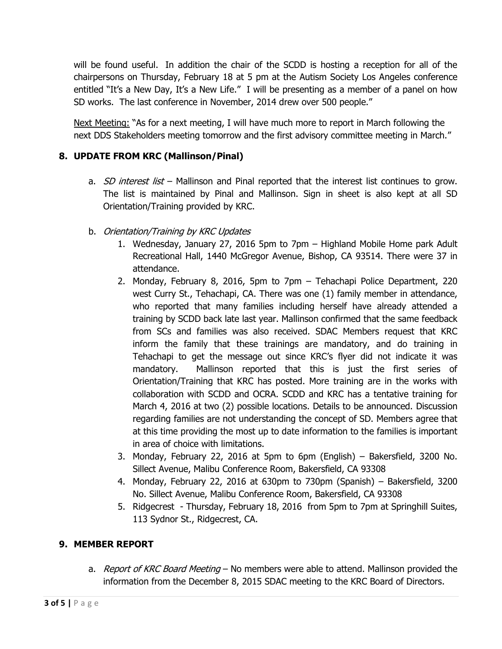will be found useful. In addition the chair of the SCDD is hosting a reception for all of the chairpersons on Thursday, February 18 at 5 pm at the Autism Society Los Angeles conference entitled "It's a New Day, It's a New Life." I will be presenting as a member of a panel on how SD works. The last conference in November, 2014 drew over 500 people."

Next Meeting: "As for a next meeting, I will have much more to report in March following the next DDS Stakeholders meeting tomorrow and the first advisory committee meeting in March."

# **8. UPDATE FROM KRC (Mallinson/Pinal)**

- a.  $SD$  interest list Mallinson and Pinal reported that the interest list continues to grow. The list is maintained by Pinal and Mallinson. Sign in sheet is also kept at all SD Orientation/Training provided by KRC.
- b. Orientation/Training by KRC Updates
	- 1. Wednesday, January 27, 2016 5pm to 7pm Highland Mobile Home park Adult Recreational Hall, 1440 McGregor Avenue, Bishop, CA 93514. There were 37 in attendance.
	- 2. Monday, February 8, 2016, 5pm to 7pm Tehachapi Police Department, 220 west Curry St., Tehachapi, CA. There was one (1) family member in attendance, who reported that many families including herself have already attended a training by SCDD back late last year. Mallinson confirmed that the same feedback from SCs and families was also received. SDAC Members request that KRC inform the family that these trainings are mandatory, and do training in Tehachapi to get the message out since KRC's flyer did not indicate it was mandatory. Mallinson reported that this is just the first series of Orientation/Training that KRC has posted. More training are in the works with collaboration with SCDD and OCRA. SCDD and KRC has a tentative training for March 4, 2016 at two (2) possible locations. Details to be announced. Discussion regarding families are not understanding the concept of SD. Members agree that at this time providing the most up to date information to the families is important in area of choice with limitations.
	- 3. Monday, February 22, 2016 at 5pm to 6pm (English) Bakersfield, 3200 No. Sillect Avenue, Malibu Conference Room, Bakersfield, CA 93308
	- 4. Monday, February 22, 2016 at 630pm to 730pm (Spanish) Bakersfield, 3200 No. Sillect Avenue, Malibu Conference Room, Bakersfield, CA 93308
	- 5. Ridgecrest Thursday, February 18, 2016 from 5pm to 7pm at Springhill Suites, 113 Sydnor St., Ridgecrest, CA.

### **9. MEMBER REPORT**

a. Report of KRC Board Meeting – No members were able to attend. Mallinson provided the information from the December 8, 2015 SDAC meeting to the KRC Board of Directors.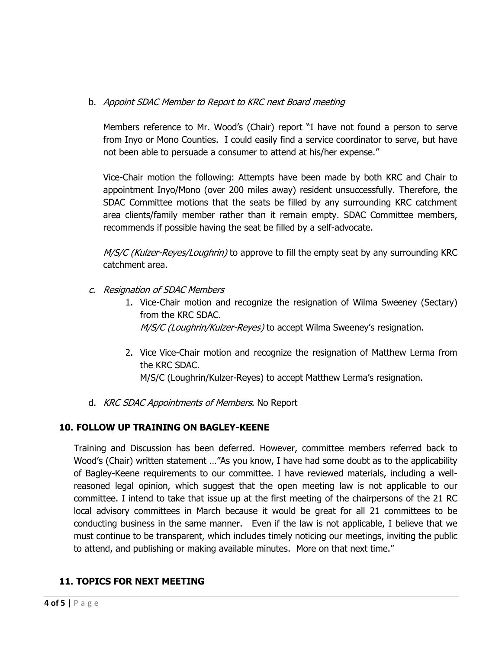### b. Appoint SDAC Member to Report to KRC next Board meeting

Members reference to Mr. Wood's (Chair) report "I have not found a person to serve from Inyo or Mono Counties. I could easily find a service coordinator to serve, but have not been able to persuade a consumer to attend at his/her expense."

Vice-Chair motion the following: Attempts have been made by both KRC and Chair to appointment Inyo/Mono (over 200 miles away) resident unsuccessfully. Therefore, the SDAC Committee motions that the seats be filled by any surrounding KRC catchment area clients/family member rather than it remain empty. SDAC Committee members, recommends if possible having the seat be filled by a self-advocate.

M/S/C (Kulzer-Reyes/Loughrin) to approve to fill the empty seat by any surrounding KRC catchment area.

- c. Resignation of SDAC Members
	- 1. Vice-Chair motion and recognize the resignation of Wilma Sweeney (Sectary) from the KRC SDAC. M/S/C (Loughrin/Kulzer-Reyes) to accept Wilma Sweeney's resignation.
	- 2. Vice Vice-Chair motion and recognize the resignation of Matthew Lerma from the KRC SDAC. M/S/C (Loughrin/Kulzer-Reyes) to accept Matthew Lerma's resignation.
- d. KRC SDAC Appointments of Members. No Report

### **10. FOLLOW UP TRAINING ON BAGLEY-KEENE**

Training and Discussion has been deferred. However, committee members referred back to Wood's (Chair) written statement …"As you know, I have had some doubt as to the applicability of Bagley-Keene requirements to our committee. I have reviewed materials, including a wellreasoned legal opinion, which suggest that the open meeting law is not applicable to our committee. I intend to take that issue up at the first meeting of the chairpersons of the 21 RC local advisory committees in March because it would be great for all 21 committees to be conducting business in the same manner. Even if the law is not applicable, I believe that we must continue to be transparent, which includes timely noticing our meetings, inviting the public to attend, and publishing or making available minutes. More on that next time."

# **11. TOPICS FOR NEXT MEETING**